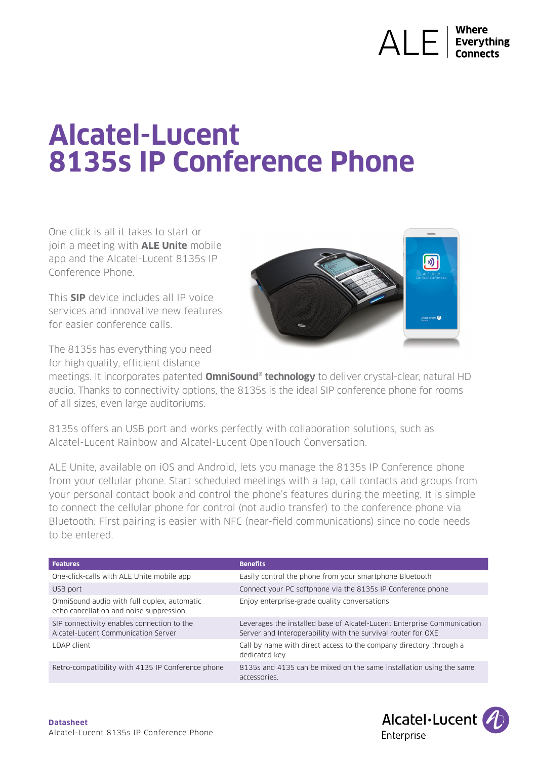# $\bigwedge \bigcup$   $\bigcup$   $\bigcup$   $\bigcup$  Everything

# **Alcatel-Lucent 8135s IP Conference Phone**

One click is all it takes to start or join a meeting with **ALE Unite** mobile app and the Alcatel-Lucent 8135s IP Conference Phone.

This **SIP** device includes all IP voice services and innovative new features for easier conference calls.

The 8135s has everything you need for high quality, efficient distance



meetings. It incorporates patented **OmniSound® technology** to deliver crystal-clear, natural HD audio. Thanks to connectivity options, the 8135s is the ideal SIP conference phone for rooms of all sizes, even large auditoriums.

8135s offers an USB port and works perfectly with collaboration solutions, such as Alcatel-Lucent Rainbow and Alcatel-Lucent OpenTouch Conversation.

ALE Unite, available on iOS and Android, lets you manage the 8135s IP Conference phone from your cellular phone. Start scheduled meetings with a tap, call contacts and groups from your personal contact book and control the phone's features during the meeting. It is simple to connect the cellular phone for control (not audio transfer) to the conference phone via Bluetooth. First pairing is easier with NFC (near-field communications) since no code needs to be entered.

| <b>Features</b>                                                                        | <b>Benefits</b>                                                                                                                         |
|----------------------------------------------------------------------------------------|-----------------------------------------------------------------------------------------------------------------------------------------|
| One-click-calls with ALE Unite mobile app                                              | Easily control the phone from your smartphone Bluetooth                                                                                 |
| USB port                                                                               | Connect your PC softphone via the 8135s IP Conference phone                                                                             |
| OmniSound audio with full duplex, automatic<br>echo cancellation and noise suppression | Enjoy enterprise-grade quality conversations                                                                                            |
| SIP connectivity enables connection to the<br>Alcatel-Lucent Communication Server      | Leverages the installed base of Alcatel-Lucent Enterprise Communication<br>Server and Interoperability with the survival router for OXE |
| LDAP client                                                                            | Call by name with direct access to the company directory through a<br>dedicated key                                                     |
| Retro-compatibility with 4135 IP Conference phone                                      | 8135s and 4135 can be mixed on the same installation using the same<br>accessories.                                                     |

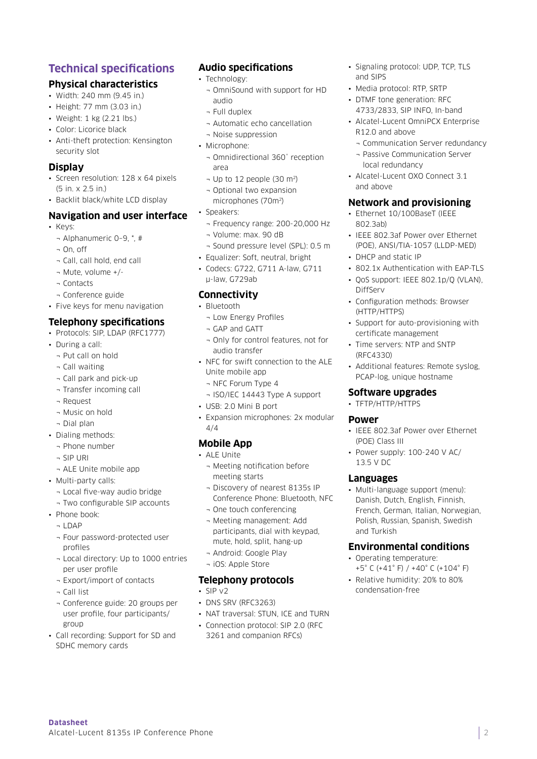# **Technical specifications**

# **Physical characteristics**

- Width: 240 mm (9.45 in.)
- Height: 77 mm (3.03 in.)
- Weight: 1 kg (2.21 lbs.)
- Color: Licorice black
- Anti-theft protection: Kensington security slot

### **Display**

- Screen resolution: 128 x 64 pixels (5 in. x 2.5 in.)
- Backlit black/white LCD display

### **Navigation and user interface**

- Keys:
	- ¬ Alphanumeric 0–9, \*, #
	- ¬ On, off
	- ¬ Call, call hold, end call
	- ¬ Mute, volume +/-
	- ¬ Contacts
	- ¬ Conference guide
- Five keys for menu navigation

# **Telephony specifications**

- Protocols: SIP, LDAP (RFC1777)
- During a call:
	- ¬ Put call on hold
	- ¬ Call waiting
	- ¬ Call park and pick-up
	- ¬ Transfer incoming call
	- ¬ Request
	- ¬ Music on hold
	- ¬ Dial plan
- Dialing methods:
	- ¬ Phone number
	- ¬ SIP URI
	- ¬ ALE Unite mobile app
- Multi-party calls:
	- ¬ Local five-way audio bridge
	- ¬ Two configurable SIP accounts
- Phone book:
	- ¬ LDAP
	- ¬ Four password-protected user profiles
	- ¬ Local directory: Up to 1000 entries per user profile
	- ¬ Export/import of contacts
	- ¬ Call list

**Datasheet** 

- ¬ Conference guide: 20 groups per user profile, four participants/ group
- Call recording: Support for SD and SDHC memory cards

Alcatel-Lucent 8135s IP Conference Phone

# **Audio specifications**

- Technology:
	- ¬ OmniSound with support for HD audio
	- ¬ Full duplex
	- ¬ Automatic echo cancellation
	- ¬ Noise suppression
- Microphone:
	- ¬ Omnidirectional 360˚ reception area
	- $\neg$  Up to 12 people (30 m<sup>2</sup>)
	- ¬ Optional two expansion microphones (70m2)
- Speakers:
	- ¬ Frequency range: 200-20,000 Hz
	- ¬ Volume: max. 90 dB
	- ¬ Sound pressure level (SPL): 0.5 m
- Equalizer: Soft, neutral, bright
- Codecs: G722, G711 A-law, G711 μ-law, G729ab

## **Connectivity**

- Bluetooth
	- ¬ Low Energy Profiles
	- ¬ GAP and GATT
	- ¬ Only for control features, not for audio transfer
- NFC for swift connection to the ALE Unite mobile app
	- ¬ NFC Forum Type 4
- ¬ ISO/IEC 14443 Type A support
- USB: 2.0 Mini B port
- Expansion microphones: 2x modular 4/4

### **Mobile App**

- ALE Unite
	- ¬ Meeting notification before meeting starts
	- ¬ Discovery of nearest 8135s IP Conference Phone: Bluetooth, NFC
	- ¬ One touch conferencing
	- ¬ Meeting management: Add participants, dial with keypad, mute, hold, split, hang-up
	- ¬ Android: Google Play
	- ¬ iOS: Apple Store

# **Telephony protocols**

- SIP v2
- DNS SRV (RFC3263)
- NAT traversal: STUN, ICE and TURN
- Connection protocol: SIP 2.0 (RFC 3261 and companion RFCs)
- Signaling protocol: UDP, TCP, TLS and SIPS
- Media protocol: RTP, SRTP
- DTMF tone generation: RFC 4733/2833, SIP INFO, In-band
- Alcatel-Lucent OmniPCX Enterprise R12.0 and above
	- ¬ Communication Server redundancy
	- ¬ Passive Communication Server local redundancy
- Alcatel-Lucent OXO Connect 3.1 and above

### **Network and provisioning**

- Ethernet 10/100BaseT (IEEE 802.3ab)
- IEEE 802.3af Power over Ethernet (POE), ANSI/TIA-1057 (LLDP-MED)
- DHCP and static IP
- 802.1x Authentication with EAP-TLS
- QoS support: IEEE 802.1p/Q (VLAN), DiffServ
- Configuration methods: Browser (HTTP/HTTPS)
- Support for auto-provisioning with certificate management
- Time servers: NTP and SNTP (RFC4330)

**Software upgrades** • TFTP/HTTP/HTTPS

**Power** 

(POE) Class III

13.5 V DC **Languages**

and Turkish

• Additional features: Remote syslog, PCAP-log, unique hostname

• IEEE 802.3af Power over Ethernet

• Power supply: 100-240 V AC/

• Multi-language support (menu): Danish, Dutch, English, Finnish, French, German, Italian, Norwegian, Polish, Russian, Spanish, Swedish

**Environmental conditions** 

+5° C (+41° F) / +40° C (+104° F) • Relative humidity: 20% to 80%

• Operating temperature:

condensation-free

2